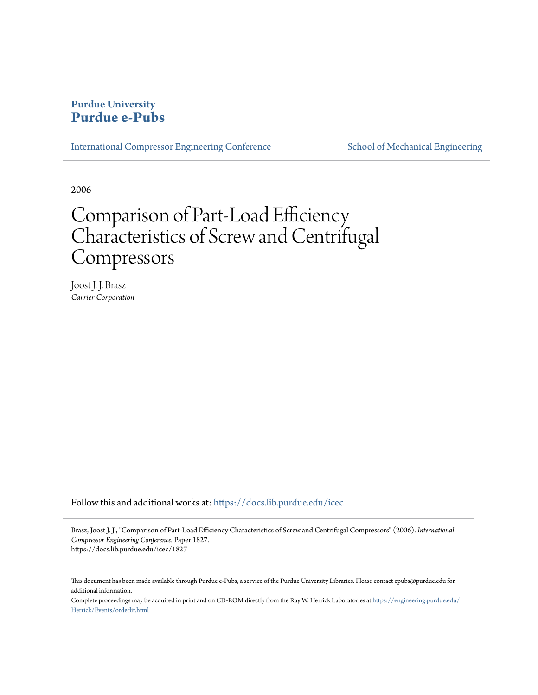# **Purdue University [Purdue e-Pubs](https://docs.lib.purdue.edu?utm_source=docs.lib.purdue.edu%2Ficec%2F1827&utm_medium=PDF&utm_campaign=PDFCoverPages)**

[International Compressor Engineering Conference](https://docs.lib.purdue.edu/icec?utm_source=docs.lib.purdue.edu%2Ficec%2F1827&utm_medium=PDF&utm_campaign=PDFCoverPages) [School of Mechanical Engineering](https://docs.lib.purdue.edu/me?utm_source=docs.lib.purdue.edu%2Ficec%2F1827&utm_medium=PDF&utm_campaign=PDFCoverPages)

2006

# Comparison of Part-Load Efficiency Characteristics of Screw and Centrifugal Compressors

Joost J. J. Brasz *Carrier Corporation*

Follow this and additional works at: [https://docs.lib.purdue.edu/icec](https://docs.lib.purdue.edu/icec?utm_source=docs.lib.purdue.edu%2Ficec%2F1827&utm_medium=PDF&utm_campaign=PDFCoverPages)

Brasz, Joost J. J., "Comparison of Part-Load Efficiency Characteristics of Screw and Centrifugal Compressors" (2006). *International Compressor Engineering Conference.* Paper 1827. https://docs.lib.purdue.edu/icec/1827

This document has been made available through Purdue e-Pubs, a service of the Purdue University Libraries. Please contact epubs@purdue.edu for additional information.

Complete proceedings may be acquired in print and on CD-ROM directly from the Ray W. Herrick Laboratories at [https://engineering.purdue.edu/](https://engineering.purdue.edu/Herrick/Events/orderlit.html) [Herrick/Events/orderlit.html](https://engineering.purdue.edu/Herrick/Events/orderlit.html)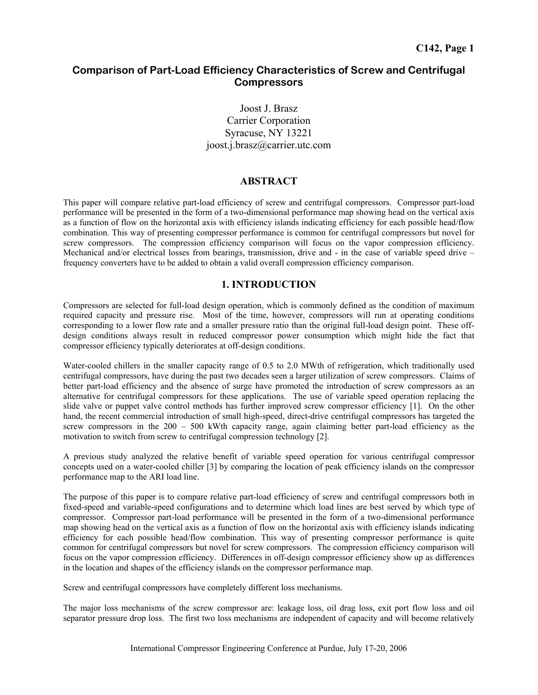# **Comparison of Part-Load Efficiency Characteristics of Screw and Centrifugal Compressors**

Joost J. Brasz Carrier Corporation Syracuse, NY 13221 joost.j.brasz@carrier.utc.com

# **ABSTRACT**

This paper will compare relative part-load efficiency of screw and centrifugal compressors. Compressor part-load performance will be presented in the form of a two-dimensional performance map showing head on the vertical axis as a function of flow on the horizontal axis with efficiency islands indicating efficiency for each possible head/flow combination. This way of presenting compressor performance is common for centrifugal compressors but novel for screw compressors. The compression efficiency comparison will focus on the vapor compression efficiency. Mechanical and/or electrical losses from bearings, transmission, drive and - in the case of variable speed drive – frequency converters have to be added to obtain a valid overall compression efficiency comparison.

# **1. INTRODUCTION**

Compressors are selected for full-load design operation, which is commonly defined as the condition of maximum required capacity and pressure rise. Most of the time, however, compressors will run at operating conditions corresponding to a lower flow rate and a smaller pressure ratio than the original full-load design point. These offdesign conditions always result in reduced compressor power consumption which might hide the fact that compressor efficiency typically deteriorates at off-design conditions.

Water-cooled chillers in the smaller capacity range of 0.5 to 2.0 MWth of refrigeration, which traditionally used centrifugal compressors, have during the past two decades seen a larger utilization of screw compressors. Claims of better part-load efficiency and the absence of surge have promoted the introduction of screw compressors as an alternative for centrifugal compressors for these applications. The use of variable speed operation replacing the slide valve or puppet valve control methods has further improved screw compressor efficiency [1]. On the other hand, the recent commercial introduction of small high-speed, direct-drive centrifugal compressors has targeted the screw compressors in the 200 – 500 kWth capacity range, again claiming better part-load efficiency as the motivation to switch from screw to centrifugal compression technology [2].

A previous study analyzed the relative benefit of variable speed operation for various centrifugal compressor concepts used on a water-cooled chiller [3] by comparing the location of peak efficiency islands on the compressor performance map to the ARI load line.

The purpose of this paper is to compare relative part-load efficiency of screw and centrifugal compressors both in fixed-speed and variable-speed configurations and to determine which load lines are best served by which type of compressor. Compressor part-load performance will be presented in the form of a two-dimensional performance map showing head on the vertical axis as a function of flow on the horizontal axis with efficiency islands indicating efficiency for each possible head/flow combination. This way of presenting compressor performance is quite common for centrifugal compressors but novel for screw compressors. The compression efficiency comparison will focus on the vapor compression efficiency. Differences in off-design compressor efficiency show up as differences in the location and shapes of the efficiency islands on the compressor performance map.

Screw and centrifugal compressors have completely different loss mechanisms.

The major loss mechanisms of the screw compressor are: leakage loss, oil drag loss, exit port flow loss and oil separator pressure drop loss. The first two loss mechanisms are independent of capacity and will become relatively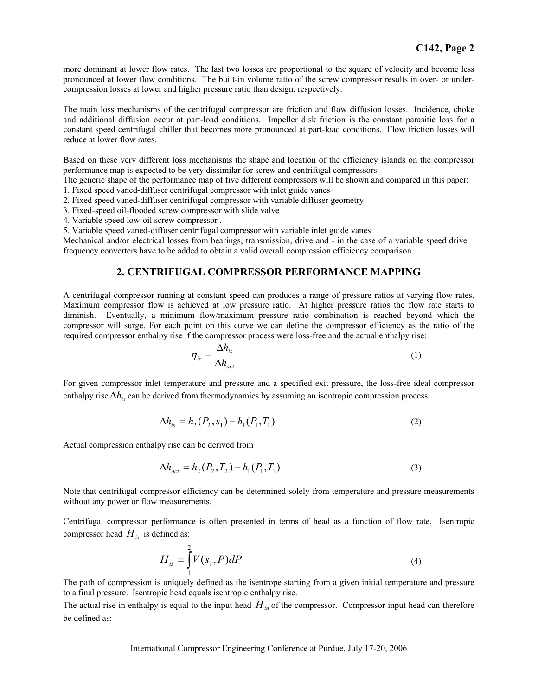more dominant at lower flow rates. The last two losses are proportional to the square of velocity and become less pronounced at lower flow conditions. The built-in volume ratio of the screw compressor results in over- or undercompression losses at lower and higher pressure ratio than design, respectively.

The main loss mechanisms of the centrifugal compressor are friction and flow diffusion losses. Incidence, choke and additional diffusion occur at part-load conditions. Impeller disk friction is the constant parasitic loss for a constant speed centrifugal chiller that becomes more pronounced at part-load conditions. Flow friction losses will reduce at lower flow rates.

Based on these very different loss mechanisms the shape and location of the efficiency islands on the compressor performance map is expected to be very dissimilar for screw and centrifugal compressors.

The generic shape of the performance map of five different compressors will be shown and compared in this paper:

1. Fixed speed vaned-diffuser centrifugal compressor with inlet guide vanes

2. Fixed speed vaned-diffuser centrifugal compressor with variable diffuser geometry

3. Fixed-speed oil-flooded screw compressor with slide valve

4. Variable speed low-oil screw compressor .

5. Variable speed vaned-diffuser centrifugal compressor with variable inlet guide vanes

Mechanical and/or electrical losses from bearings, transmission, drive and - in the case of a variable speed drive – frequency converters have to be added to obtain a valid overall compression efficiency comparison.

# **2. CENTRIFUGAL COMPRESSOR PERFORMANCE MAPPING**

A centrifugal compressor running at constant speed can produces a range of pressure ratios at varying flow rates. Maximum compressor flow is achieved at low pressure ratio. At higher pressure ratios the flow rate starts to diminish. Eventually, a minimum flow/maximum pressure ratio combination is reached beyond which the compressor will surge. For each point on this curve we can define the compressor efficiency as the ratio of the required compressor enthalpy rise if the compressor process were loss-free and the actual enthalpy rise:

$$
\eta_{is} = \frac{\Delta h_{is}}{\Delta h_{act}} \tag{1}
$$

For given compressor inlet temperature and pressure and a specified exit pressure, the loss-free ideal compressor enthalpy rise ∆*h<sub>is</sub>* can be derived from thermodynamics by assuming an isentropic compression process:

$$
\Delta h_{is} = h_2(P_2, s_1) - h_1(P_1, T_1)
$$
\n(2)

Actual compression enthalpy rise can be derived from

$$
\Delta h_{act} = h_2(P_2, T_2) - h_1(P_1, T_1)
$$
\n(3)

Note that centrifugal compressor efficiency can be determined solely from temperature and pressure measurements without any power or flow measurements.

Centrifugal compressor performance is often presented in terms of head as a function of flow rate. Isentropic compressor head  $H_{is}$  is defined as:

$$
H_{is} = \int_{1}^{2} V(s_1, P) dP
$$
 (4)

The path of compression is uniquely defined as the isentrope starting from a given initial temperature and pressure to a final pressure. Isentropic head equals isentropic enthalpy rise.

The actual rise in enthalpy is equal to the input head  $H_{in}$  of the compressor. Compressor input head can therefore be defined as: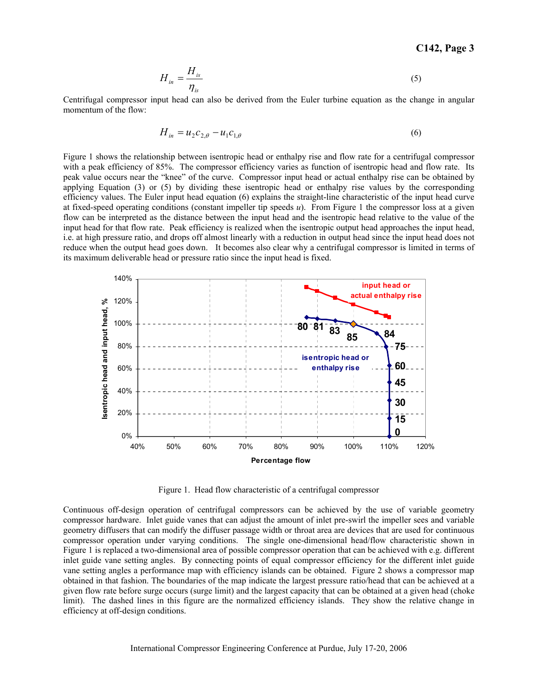**C142, Page 3** 

$$
H_{in} = \frac{H_{is}}{\eta_{is}}\tag{5}
$$

Centrifugal compressor input head can also be derived from the Euler turbine equation as the change in angular momentum of the flow:

$$
H_{in} = u_2 c_{2,\theta} - u_1 c_{1,\theta}
$$
 (6)

Figure 1 shows the relationship between isentropic head or enthalpy rise and flow rate for a centrifugal compressor with a peak efficiency of 85%. The compressor efficiency varies as function of isentropic head and flow rate. Its peak value occurs near the "knee" of the curve. Compressor input head or actual enthalpy rise can be obtained by applying Equation (3) or (5) by dividing these isentropic head or enthalpy rise values by the corresponding efficiency values. The Euler input head equation (6) explains the straight-line characteristic of the input head curve at fixed-speed operating conditions (constant impeller tip speeds *u*). From Figure 1 the compressor loss at a given flow can be interpreted as the distance between the input head and the isentropic head relative to the value of the input head for that flow rate. Peak efficiency is realized when the isentropic output head approaches the input head, i.e. at high pressure ratio, and drops off almost linearly with a reduction in output head since the input head does not reduce when the output head goes down. It becomes also clear why a centrifugal compressor is limited in terms of its maximum deliverable head or pressure ratio since the input head is fixed.



Figure 1. Head flow characteristic of a centrifugal compressor

Continuous off-design operation of centrifugal compressors can be achieved by the use of variable geometry compressor hardware. Inlet guide vanes that can adjust the amount of inlet pre-swirl the impeller sees and variable geometry diffusers that can modify the diffuser passage width or throat area are devices that are used for continuous compressor operation under varying conditions. The single one-dimensional head/flow characteristic shown in Figure 1 is replaced a two-dimensional area of possible compressor operation that can be achieved with e.g. different inlet guide vane setting angles. By connecting points of equal compressor efficiency for the different inlet guide vane setting angles a performance map with efficiency islands can be obtained. Figure 2 shows a compressor map obtained in that fashion. The boundaries of the map indicate the largest pressure ratio/head that can be achieved at a given flow rate before surge occurs (surge limit) and the largest capacity that can be obtained at a given head (choke limit). The dashed lines in this figure are the normalized efficiency islands. They show the relative change in efficiency at off-design conditions.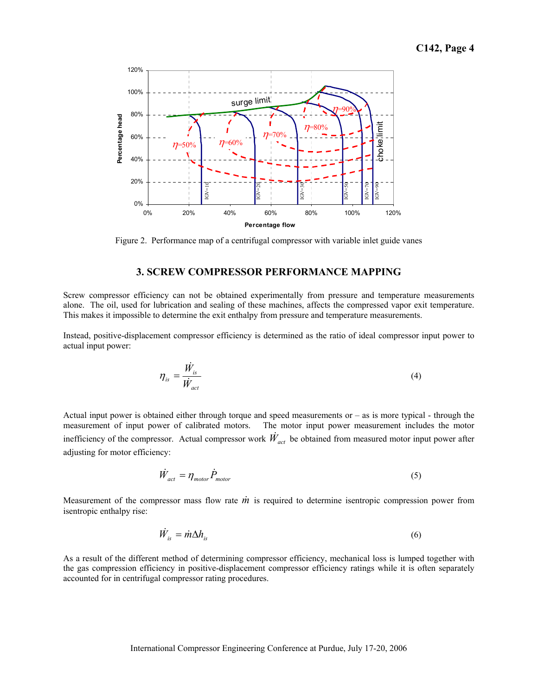

Figure 2. Performance map of a centrifugal compressor with variable inlet guide vanes

#### **3. SCREW COMPRESSOR PERFORMANCE MAPPING**

Screw compressor efficiency can not be obtained experimentally from pressure and temperature measurements alone. The oil, used for lubrication and sealing of these machines, affects the compressed vapor exit temperature. This makes it impossible to determine the exit enthalpy from pressure and temperature measurements.

Instead, positive-displacement compressor efficiency is determined as the ratio of ideal compressor input power to actual input power:

$$
\eta_{is} = \frac{\dot{W}_{is}}{\dot{W}_{act}}
$$
(4)

Actual input power is obtained either through torque and speed measurements or – as is more typical - through the measurement of input power of calibrated motors. The motor input power measurement includes the motor inefficiency of the compressor. Actual compressor work  $\dot{W}_{act}$  be obtained from measured motor input power after adjusting for motor efficiency:

$$
\dot{W}_{act} = \eta_{motor} \dot{P}_{motor} \tag{5}
$$

Measurement of the compressor mass flow rate  $\dot{m}$  is required to determine isentropic compression power from isentropic enthalpy rise:

$$
\dot{W}_{is} = \dot{m}\Delta h_{is} \tag{6}
$$

As a result of the different method of determining compressor efficiency, mechanical loss is lumped together with the gas compression efficiency in positive-displacement compressor efficiency ratings while it is often separately accounted for in centrifugal compressor rating procedures.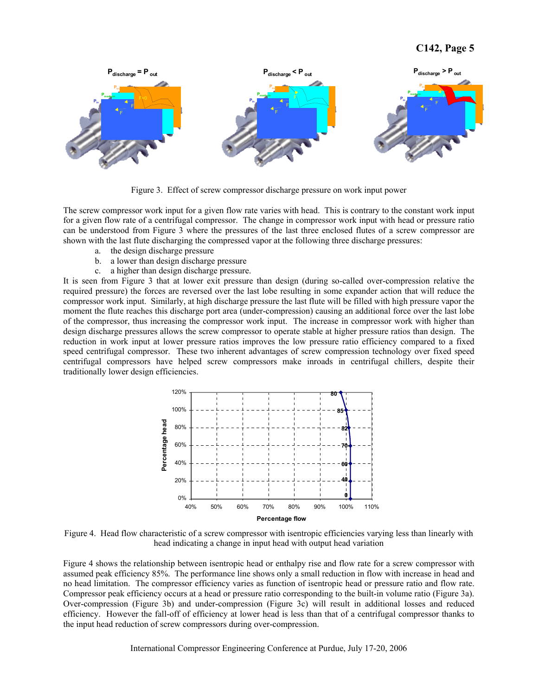

Figure 3. Effect of screw compressor discharge pressure on work input power

The screw compressor work input for a given flow rate varies with head. This is contrary to the constant work input for a given flow rate of a centrifugal compressor. The change in compressor work input with head or pressure ratio can be understood from Figure 3 where the pressures of the last three enclosed flutes of a screw compressor are shown with the last flute discharging the compressed vapor at the following three discharge pressures:

- a. the design discharge pressure
- b. a lower than design discharge pressure
- c. a higher than design discharge pressure.

It is seen from Figure 3 that at lower exit pressure than design (during so-called over-compression relative the required pressure) the forces are reversed over the last lobe resulting in some expander action that will reduce the compressor work input. Similarly, at high discharge pressure the last flute will be filled with high pressure vapor the moment the flute reaches this discharge port area (under-compression) causing an additional force over the last lobe of the compressor, thus increasing the compressor work input. The increase in compressor work with higher than design discharge pressures allows the screw compressor to operate stable at higher pressure ratios than design. The reduction in work input at lower pressure ratios improves the low pressure ratio efficiency compared to a fixed speed centrifugal compressor. These two inherent advantages of screw compression technology over fixed speed centrifugal compressors have helped screw compressors make inroads in centrifugal chillers, despite their traditionally lower design efficiencies.



Figure 4. Head flow characteristic of a screw compressor with isentropic efficiencies varying less than linearly with head indicating a change in input head with output head variation

Figure 4 shows the relationship between isentropic head or enthalpy rise and flow rate for a screw compressor with assumed peak efficiency 85%. The performance line shows only a small reduction in flow with increase in head and no head limitation. The compressor efficiency varies as function of isentropic head or pressure ratio and flow rate. Compressor peak efficiency occurs at a head or pressure ratio corresponding to the built-in volume ratio (Figure 3a). Over-compression (Figure 3b) and under-compression (Figure 3c) will result in additional losses and reduced efficiency. However the fall-off of efficiency at lower head is less than that of a centrifugal compressor thanks to the input head reduction of screw compressors during over-compression.

International Compressor Engineering Conference at Purdue, July 17-20, 2006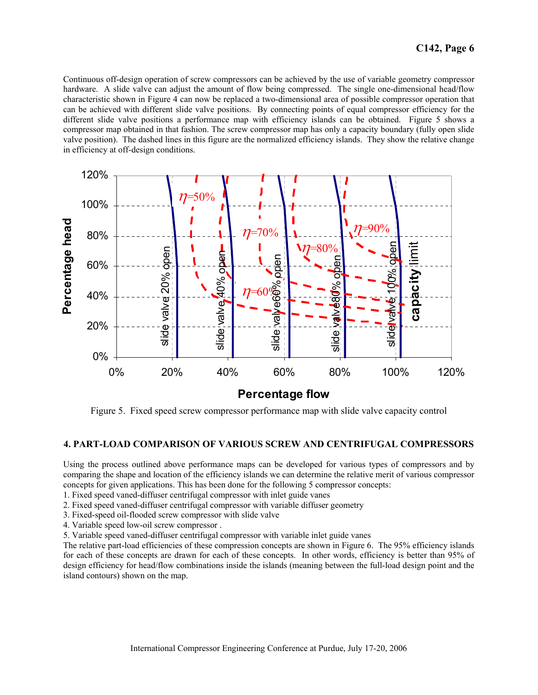Continuous off-design operation of screw compressors can be achieved by the use of variable geometry compressor hardware. A slide valve can adjust the amount of flow being compressed. The single one-dimensional head/flow characteristic shown in Figure 4 can now be replaced a two-dimensional area of possible compressor operation that can be achieved with different slide valve positions. By connecting points of equal compressor efficiency for the different slide valve positions a performance map with efficiency islands can be obtained. Figure 5 shows a compressor map obtained in that fashion. The screw compressor map has only a capacity boundary (fully open slide valve position). The dashed lines in this figure are the normalized efficiency islands. They show the relative change in efficiency at off-design conditions.



**Percentage flow**

Figure 5. Fixed speed screw compressor performance map with slide valve capacity control

## **4. PART-LOAD COMPARISON OF VARIOUS SCREW AND CENTRIFUGAL COMPRESSORS**

Using the process outlined above performance maps can be developed for various types of compressors and by comparing the shape and location of the efficiency islands we can determine the relative merit of various compressor concepts for given applications. This has been done for the following 5 compressor concepts:

- 1. Fixed speed vaned-diffuser centrifugal compressor with inlet guide vanes
- 2. Fixed speed vaned-diffuser centrifugal compressor with variable diffuser geometry
- 3. Fixed-speed oil-flooded screw compressor with slide valve
- 4. Variable speed low-oil screw compressor .
- 5. Variable speed vaned-diffuser centrifugal compressor with variable inlet guide vanes

The relative part-load efficiencies of these compression concepts are shown in Figure 6. The 95% efficiency islands for each of these concepts are drawn for each of these concepts. In other words, efficiency is better than 95% of design efficiency for head/flow combinations inside the islands (meaning between the full-load design point and the island contours) shown on the map.